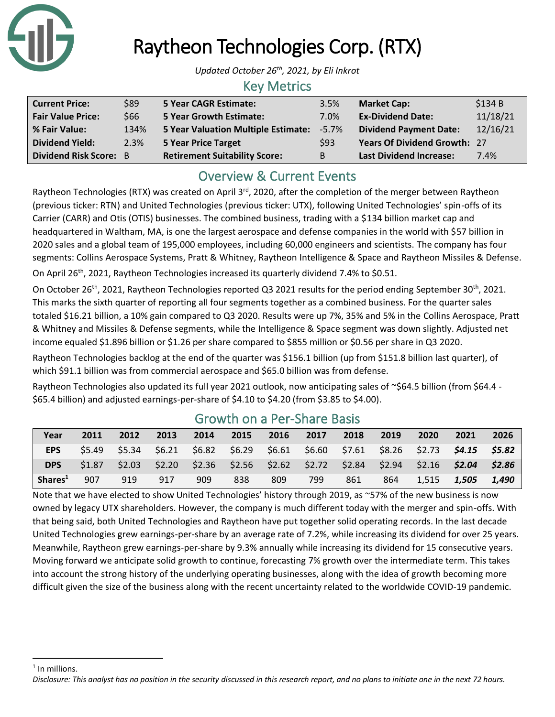

# Raytheon Technologies Corp. (RTX)

*Updated October 26th , 2021, by Eli Inkrot*

### Key Metrics

| <b>Current Price:</b>         | \$89 | 5 Year CAGR Estimate:                | 3.5%  | <b>Market Cap:</b>                  | \$134B   |
|-------------------------------|------|--------------------------------------|-------|-------------------------------------|----------|
| <b>Fair Value Price:</b>      | \$66 | <b>5 Year Growth Estimate:</b>       | 7.0%  | <b>Ex-Dividend Date:</b>            | 11/18/21 |
| % Fair Value:                 | 134% | 5 Year Valuation Multiple Estimate:  | -5.7% | <b>Dividend Payment Date:</b>       | 12/16/21 |
| <b>Dividend Yield:</b>        | 2.3% | 5 Year Price Target                  | \$93  | <b>Years Of Dividend Growth: 27</b> |          |
| <b>Dividend Risk Score: B</b> |      | <b>Retirement Suitability Score:</b> | B     | <b>Last Dividend Increase:</b>      | 7.4%     |

## Overview & Current Events

Raytheon Technologies (RTX) was created on April 3<sup>rd</sup>, 2020, after the completion of the merger between Raytheon (previous ticker: RTN) and United Technologies (previous ticker: UTX), following United Technologies' spin-offs of its Carrier (CARR) and Otis (OTIS) businesses. The combined business, trading with a \$134 billion market cap and headquartered in Waltham, MA, is one the largest aerospace and defense companies in the world with \$57 billion in 2020 sales and a global team of 195,000 employees, including 60,000 engineers and scientists. The company has four segments: Collins Aerospace Systems, Pratt & Whitney, Raytheon Intelligence & Space and Raytheon Missiles & Defense.

On April 26<sup>th</sup>, 2021, Raytheon Technologies increased its quarterly dividend 7.4% to \$0.51.

On October 26<sup>th</sup>, 2021, Raytheon Technologies reported Q3 2021 results for the period ending September 30<sup>th</sup>, 2021. This marks the sixth quarter of reporting all four segments together as a combined business. For the quarter sales totaled \$16.21 billion, a 10% gain compared to Q3 2020. Results were up 7%, 35% and 5% in the Collins Aerospace, Pratt & Whitney and Missiles & Defense segments, while the Intelligence & Space segment was down slightly. Adjusted net income equaled \$1.896 billion or \$1.26 per share compared to \$855 million or \$0.56 per share in Q3 2020.

Raytheon Technologies backlog at the end of the quarter was \$156.1 billion (up from \$151.8 billion last quarter), of which \$91.1 billion was from commercial aerospace and \$65.0 billion was from defense.

Raytheon Technologies also updated its full year 2021 outlook, now anticipating sales of ~\$64.5 billion (from \$64.4 -\$65.4 billion) and adjusted earnings-per-share of \$4.10 to \$4.20 (from \$3.85 to \$4.00).

| Year                | 2011   | 2012   | 2013 | 2014 | 2015 | 2016 | 2017 | 2018 | 2019 | 2020  | 2021                                                                                    | 2026  |
|---------------------|--------|--------|------|------|------|------|------|------|------|-------|-----------------------------------------------------------------------------------------|-------|
| <b>EPS</b>          | \$5.49 | \$5.34 |      |      |      |      |      |      |      |       | $$6.21$ $$6.82$ $$6.29$ $$6.61$ $$6.60$ $$7.61$ $$8.26$ $$2.73$ $$4.15$ $$5.82$         |       |
| <b>DPS</b>          | \$1.87 |        |      |      |      |      |      |      |      |       | $$2.03$ $$2.20$ $$2.36$ $$2.56$ $$2.62$ $$2.72$ $$2.84$ $$2.94$ $$2.16$ $$2.04$ $$2.86$ |       |
| Shares <sup>1</sup> | 907    | 919    | 917  | 909  | 838  | 809  | 799  | 861  | 864  | 1.515 | 1,505                                                                                   | 1.490 |

## Growth on a Per-Share Basis

Note that we have elected to show United Technologies' history through 2019, as ~57% of the new business is now owned by legacy UTX shareholders. However, the company is much different today with the merger and spin-offs. With that being said, both United Technologies and Raytheon have put together solid operating records. In the last decade United Technologies grew earnings-per-share by an average rate of 7.2%, while increasing its dividend for over 25 years. Meanwhile, Raytheon grew earnings-per-share by 9.3% annually while increasing its dividend for 15 consecutive years. Moving forward we anticipate solid growth to continue, forecasting 7% growth over the intermediate term. This takes into account the strong history of the underlying operating businesses, along with the idea of growth becoming more difficult given the size of the business along with the recent uncertainty related to the worldwide COVID-19 pandemic.

<sup>1</sup> In millions.

*Disclosure: This analyst has no position in the security discussed in this research report, and no plans to initiate one in the next 72 hours.*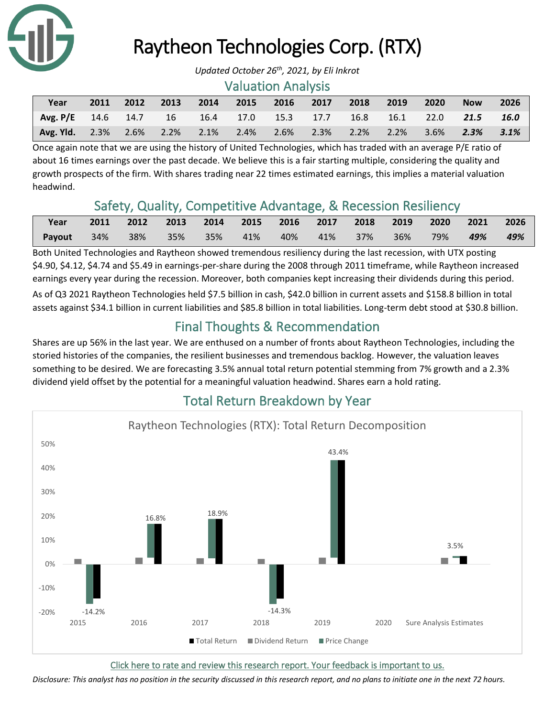

## Raytheon Technologies Corp. (RTX)

#### Valuation Analysis

| Year                                                                  | 2011 |  |  |  | 2012 2013 2014 2015 2016 2017 2018 2019 2020 | <b>Now</b> | 2026 |
|-----------------------------------------------------------------------|------|--|--|--|----------------------------------------------|------------|------|
| Avg. P/E 14.6 14.7 16 16.4 17.0 15.3 17.7 16.8 16.1 22.0 21.5 16.0    |      |  |  |  |                                              |            |      |
| Avg. Yld. 2.3% 2.6% 2.2% 2.1% 2.4% 2.6% 2.3% 2.2% 2.2% 3.6% 2.3% 3.1% |      |  |  |  |                                              |            |      |

Once again note that we are using the history of United Technologies, which has traded with an average P/E ratio of about 16 times earnings over the past decade. We believe this is a fair starting multiple, considering the quality and growth prospects of the firm. With shares trading near 22 times estimated earnings, this implies a material valuation headwind.

### Safety, Quality, Competitive Advantage, & Recession Resiliency

| Year          |     | 2011 2012 2013 2014 2015 2016 2017 2018 2019 2020 2021 2026 |                                                |  |  |  |  |     |
|---------------|-----|-------------------------------------------------------------|------------------------------------------------|--|--|--|--|-----|
| <b>Payout</b> | 34% |                                                             | 38% 35% 35% 41% 40% 41% 37% 36% 79% <b>49%</b> |  |  |  |  | 49% |

Both United Technologies and Raytheon showed tremendous resiliency during the last recession, with UTX posting \$4.90, \$4.12, \$4.74 and \$5.49 in earnings-per-share during the 2008 through 2011 timeframe, while Raytheon increased earnings every year during the recession. Moreover, both companies kept increasing their dividends during this period. As of Q3 2021 Raytheon Technologies held \$7.5 billion in cash, \$42.0 billion in current assets and \$158.8 billion in total assets against \$34.1 billion in current liabilities and \$85.8 billion in total liabilities. Long-term debt stood at \$30.8 billion.

## Final Thoughts & Recommendation

Shares are up 56% in the last year. We are enthused on a number of fronts about Raytheon Technologies, including the storied histories of the companies, the resilient businesses and tremendous backlog. However, the valuation leaves something to be desired. We are forecasting 3.5% annual total return potential stemming from 7% growth and a 2.3% dividend yield offset by the potential for a meaningful valuation headwind. Shares earn a hold rating.



## Total Return Breakdown by Year

[Click here to rate and review this research report. Your feedback is important to us.](https://suredividend.typeform.com/to/S0SIkB)

*Disclosure: This analyst has no position in the security discussed in this research report, and no plans to initiate one in the next 72 hours.*

*Updated October 26th , 2021, by Eli Inkrot*